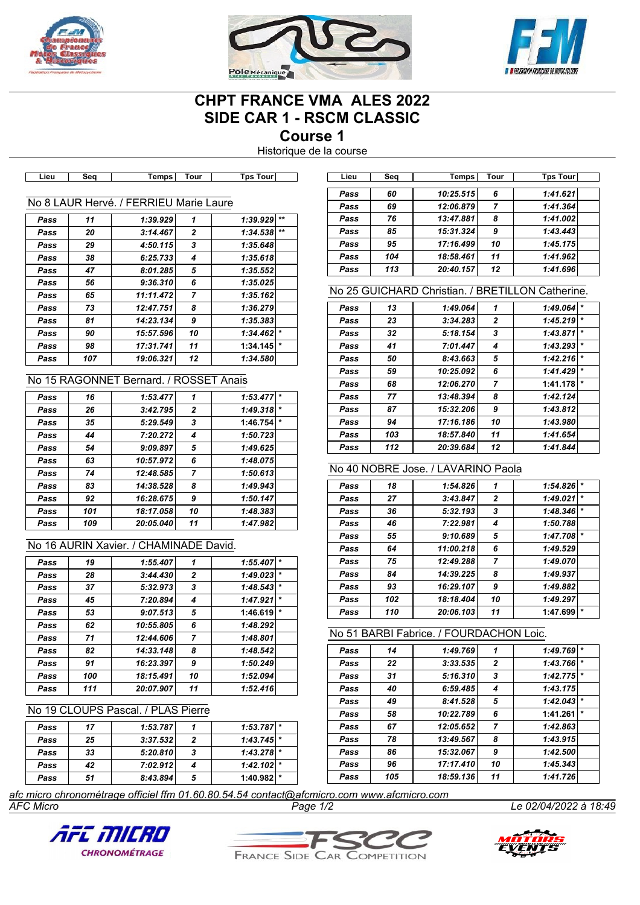





# **CHPT FRANCE VMA ALES 2022 SIDE CAR 1 - RSCM CLASSIC**

**Course 1**

Historique de la course

|      |     |                                        |                |                                                                                           | Pass | 60         | 10:25.515                                        | 6              | 1:41.621     |
|------|-----|----------------------------------------|----------------|-------------------------------------------------------------------------------------------|------|------------|--------------------------------------------------|----------------|--------------|
|      |     | No 8 LAUR Hervé. / FERRIEU Marie Laure |                |                                                                                           | Pass | 69         | 12:06.879                                        | $\overline{7}$ | 1:41.364     |
|      |     |                                        |                | $1:39.929$ **                                                                             | Pass | 76         | 13:47.881                                        | 8              | 1:41.002     |
| Pass | 11  | 1:39.929                               | 1              |                                                                                           | Pass | 85         | 15:31.324                                        | 9              | 1:43.443     |
| Pass | 20  | 3:14.467                               | 2              | 1:34.538                                                                                  |      | 95         |                                                  |                |              |
| Pass | 29  | 4:50.115                               | 3              | 1:35.648                                                                                  | Pass |            | 17:16.499                                        | 10             | 1:45.175     |
| Pass | 38  | 6:25.733                               | 4              | 1:35.618                                                                                  | Pass | 104<br>113 | 18:58.461                                        | 11             | 1:41.962     |
| Pass | 47  | 8:01.285                               | 5              | 1:35.552                                                                                  | Pass |            | 20:40.157                                        | 12             | 1:41.696     |
| Pass | 56  | 9:36.310                               | 6              | 1:35.025                                                                                  |      |            | No 25 GUICHARD Christian. / BRETILLON Catherine. |                |              |
| Pass | 65  | 11:11.472                              | $\overline{7}$ | 1:35.162                                                                                  |      |            |                                                  |                |              |
| Pass | 73  | 12:47.751                              | 8              | 1:36.279                                                                                  | Pass | 13         | 1:49.064                                         | 1              | 1:49.064     |
| Pass | 81  | 14:23.134                              | 9              | 1:35.383                                                                                  | Pass | 23         | 3:34.283                                         | 2              | 1:45.219     |
| Pass | 90  | 15:57.596                              | 10             | 1:34.462                                                                                  | Pass | 32         | 5:18.154                                         | 3              | 1:43.871     |
| Pass | 98  | 17:31.741                              | 11             | 1:34.145                                                                                  | Pass | 41         | 7:01.447                                         | 4              | 1:43.293     |
| Pass | 107 | 19:06.321                              | 12             | 1:34.580                                                                                  | Pass | 50         | 8:43.663                                         | 5              | 1:42.216     |
|      |     | No 15 RAGONNET Bernard. / ROSSET Anais |                |                                                                                           | Pass | 59         | 10:25.092                                        | 6              | 1:41.429     |
|      |     |                                        |                |                                                                                           | Pass | 68         | 12:06.270                                        | 7              | 1:41.178     |
| Pass | 16  | 1:53.477                               | 1              | $1:53.477$ *                                                                              | Pass | 77         | 13:48.394                                        | 8              | 1:42.124     |
| Pass | 26  | 3:42.795                               | 2              | 1:49.318                                                                                  | Pass | 87         | 15:32.206                                        | 9              | 1:43.812     |
| Pass | 35  | 5:29.549                               | 3              | 1:46.754                                                                                  | Pass | 94         | 17:16.186                                        | 10             | 1:43.980     |
| Pass | 44  | 7:20.272                               | 4              | 1:50.723                                                                                  | Pass | 103        | 18:57.840                                        | 11             | 1:41.654     |
| Pass | 54  | 9:09.897                               | 5              | 1:49.625                                                                                  | Pass | 112        | 20:39.684                                        | 12             | 1:41.844     |
| Pass | 63  | 10:57.972                              | 6              | 1:48.075                                                                                  |      |            | No 40 NOBRE Jose, / LAVARINO Paola               |                |              |
| Pass | 74  | 12:48.585                              | $\overline{7}$ | 1:50.613                                                                                  |      |            |                                                  |                |              |
| Pass | 83  | 14:38.528                              | 8              | 1:49.943                                                                                  | Pass | 18         | 1:54.826                                         | 1              | 1:54.826     |
| Pass | 92  | 16:28.675                              | 9              | 1:50.147                                                                                  | Pass | 27         | 3:43.847                                         | $\mathbf{2}$   | 1:49.021     |
| Pass | 101 | 18:17.058                              | 10             | 1:48.383                                                                                  | Pass | 36         | 5:32.193                                         | 3              | 1:48.346     |
| Pass | 109 | 20:05.040                              | 11             | 1:47.982                                                                                  | Pass | 46         | 7:22.981                                         | 4              | 1:50.788     |
|      |     | No 16 AURIN Xavier. / CHAMINADE David. |                |                                                                                           | Pass | 55         | 9:10.689                                         | 5              | 1:47.708     |
|      |     |                                        |                |                                                                                           | Pass | 64         | 11:00.218                                        | 6              | 1:49.529     |
| Pass | 19  | 1:55.407                               | 1              | $1:55.407$ *                                                                              | Pass | 75         | 12:49.288                                        | 7              | 1:49.070     |
| Pass | 28  | 3:44.430                               | 2              | 1:49.023                                                                                  | Pass | 84         | 14:39.225                                        | 8              | 1:49.937     |
| Pass | 37  | 5:32.973                               | 3              | 1:48.543                                                                                  | Pass | 93         | 16:29.107                                        | 9              | 1:49.882     |
| Pass | 45  | 7:20.894                               | 4              | 1:47.921                                                                                  | Pass | 102        | 18:18.404                                        | 10             | 1:49.297     |
| Pass | 53  | 9:07.513                               | 5              | 1:46.619                                                                                  | Pass | 110        | 20:06.103                                        | 11             | 1:47.699     |
| Pass | 62  | 10:55.805                              | 6              | 1:48.292                                                                                  |      |            | No 51 BARBI Fabrice. / FOURDACHON Loic.          |                |              |
| Pass | 71  | 12:44.606                              | $\overline{7}$ | 1:48.801                                                                                  |      |            |                                                  |                |              |
| Pass | 82  | 14:33.148                              | 8              | 1:48.542                                                                                  | Pass | 14         | 1:49.769                                         | 1              | $1:49.769$ * |
| Pass | 91  | 16:23.397                              | 9              | 1:50.249                                                                                  | Pass | 22         | 3:33.535                                         | 2              | 1:43.766     |
| Pass | 100 | 18:15.491                              | 10             | 1:52.094                                                                                  | Pass | 31         | 5:16.310                                         | 3              | 1:42.775     |
| Pass | 111 | 20:07.907                              | 11             | 1:52.416                                                                                  | Pass | 40         | 6:59.485                                         | 4              | 1:43.175     |
|      |     | No 19 CLOUPS Pascal. / PLAS Pierre     |                |                                                                                           | Pass | 49         | 8:41.528                                         | 5              | 1:42.043     |
|      |     |                                        |                |                                                                                           | Pass | 58         | 10:22.789                                        | 6              | 1:41.261     |
| Pass | 17  | 1:53.787                               | 1              | 1:53.787                                                                                  | Pass | 67         | 12:05.652                                        | 7              | 1:42.863     |
| Pass | 25  | 3:37.532                               | 2              | 1:43.745                                                                                  | Pass | 78         | 13:49.567                                        | 8              | 1:43.915     |
| Pass | 33  | 5:20.810                               | 3              | $1:43.278$ *                                                                              | Pass | 86         | 15:32.067                                        | 9              | 1:42.500     |
| Pass | 42  | 7:02.912                               | 4              | 1:42.102                                                                                  | Pass | 96         | 17:17.410                                        | 10             | 1:45.343     |
| Pass | 51  | 8:43.894                               | 5              | 1:40.982                                                                                  | Pass | 105        | 18:59.136                                        | 11             | 1:41.726     |
|      |     |                                        |                | afc micro chronométrage officiel ffm 01.60.80.54.54 contact@afcmicro.com www.afcmicro.com |      |            |                                                  |                |              |